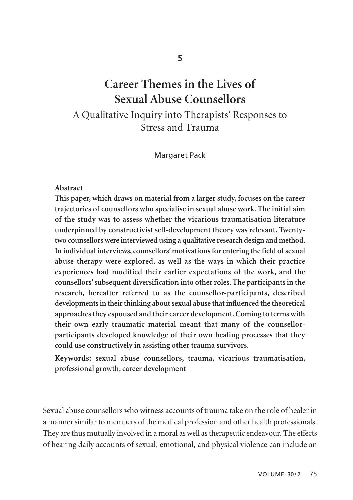# **Career Themes in the Lives of Sexual Abuse Counsellors**

A Qualitative Inquiry into Therapists' Responses to Stress and Trauma

Margaret Pack

#### **Abstract**

**This paper, which draws on material from a larger study, focuses on the career trajectories of counsellors who specialise in sexual abuse work. The initial aim of the study was to assess whether the vicarious traumatisation literature underpinned by constructivist self-development theory was relevant. Twentytwo counsellors were interviewed using a qualitative research design and method. In individual interviews, counsellors' motivations for entering the field of sexual abuse therapy were explored, as well as the ways in which their practice experiences had modified their earlier expectations of the work, and the counsellors' subsequent diversification into other roles. The participants in the research, hereafter referred to as the counsellor-participants, described developments in their thinking about sexual abuse that influenced the theoretical approaches they espoused and their career development. Coming to terms with their own early traumatic material meant that many of the counsellorparticipants developed knowledge of their own healing processes that they could use constructively in assisting other trauma survivors.** 

**Keywords: sexual abuse counsellors, trauma, vicarious traumatisation, professional growth, career development** 

Sexual abuse counsellors who witness accounts of trauma take on the role of healer in a manner similar to members of the medical profession and other health professionals. They are thus mutually involved in a moral as well as therapeutic endeavour. The effects of hearing daily accounts of sexual, emotional, and physical violence can include an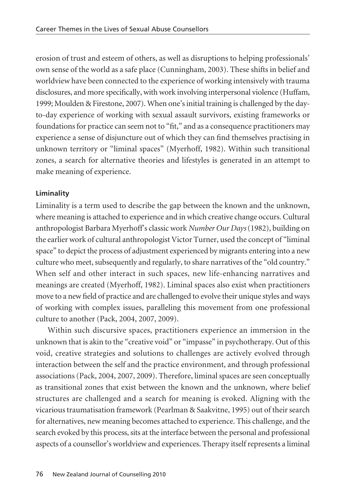erosion of trust and esteem of others, as well as disruptions to helping professionals' own sense of the world as a safe place (Cunningham, 2003). These shifts in belief and worldview have been connected to the experience of working intensively with trauma disclosures, and more specifically, with work involving interpersonal violence (Huffam, 1999; Moulden & Firestone, 2007). When one's initial training is challenged by the dayto-day experience of working with sexual assault survivors, existing frameworks or foundations for practice can seem not to "fit," and as a consequence practitioners may experience a sense of disjuncture out of which they can find themselves practising in unknown territory or "liminal spaces" (Myerhoff, 1982). Within such transitional zones, a search for alternative theories and lifestyles is generated in an attempt to make meaning of experience.

# **Liminality**

Liminality is a term used to describe the gap between the known and the unknown, where meaning is attached to experience and in which creative change occurs. Cultural anthropologist Barbara Myerhoff's classic work *Number Our Days*(1982), building on the earlier work of cultural anthropologist Victor Turner, used the concept of "liminal space" to depict the process of adjustment experienced by migrants entering into a new culture who meet, subsequently and regularly, to share narratives of the "old country." When self and other interact in such spaces, new life-enhancing narratives and meanings are created (Myerhoff, 1982). Liminal spaces also exist when practitioners move to a new field of practice and are challenged to evolve their unique styles and ways of working with complex issues, paralleling this movement from one professional culture to another (Pack, 2004, 2007, 2009).

Within such discursive spaces, practitioners experience an immersion in the unknown that is akin to the "creative void" or "impasse" in psychotherapy. Out of this void, creative strategies and solutions to challenges are actively evolved through interaction between the self and the practice environment, and through professional associations (Pack, 2004, 2007, 2009). Therefore, liminal spaces are seen conceptually as transitional zones that exist between the known and the unknown, where belief structures are challenged and a search for meaning is evoked. Aligning with the vicarious traumatisation framework (Pearlman & Saakvitne, 1995) out of their search for alternatives, new meaning becomes attached to experience. This challenge, and the search evoked by this process, sits at the interface between the personal and professional aspects of a counsellor's worldview and experiences. Therapy itself represents a liminal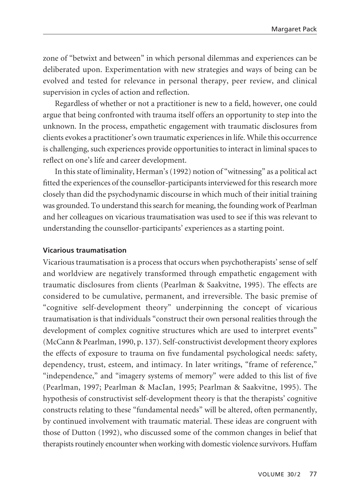zone of "betwixt and between" in which personal dilemmas and experiences can be deliberated upon. Experimentation with new strategies and ways of being can be evolved and tested for relevance in personal therapy, peer review, and clinical supervision in cycles of action and reflection.

Regardless of whether or not a practitioner is new to a field, however, one could argue that being confronted with trauma itself offers an opportunity to step into the unknown. In the process, empathetic engagement with traumatic disclosures from clients evokes a practitioner's own traumatic experiences in life. While this occurrence is challenging, such experiences provide opportunities to interact in liminal spaces to reflect on one's life and career development.

In this state of liminality, Herman's (1992) notion of "witnessing" as a political act fitted the experiences of the counsellor-participants interviewed for this research more closely than did the psychodynamic discourse in which much of their initial training was grounded. To understand this search for meaning, the founding work of Pearlman and her colleagues on vicarious traumatisation was used to see if this was relevant to understanding the counsellor-participants' experiences as a starting point.

#### **Vicarious traumatisation**

Vicarious traumatisation is a process that occurs when psychotherapists' sense of self and worldview are negatively transformed through empathetic engagement with traumatic disclosures from clients (Pearlman & Saakvitne, 1995). The effects are considered to be cumulative, permanent, and irreversible. The basic premise of "cognitive self-development theory" underpinning the concept of vicarious traumatisation is that individuals "construct their own personal realities through the development of complex cognitive structures which are used to interpret events" (McCann & Pearlman, 1990, p. 137). Self-constructivist development theory explores the effects of exposure to trauma on five fundamental psychological needs: safety, dependency, trust, esteem, and intimacy. In later writings, "frame of reference," "independence," and "imagery systems of memory" were added to this list of five (Pearlman, 1997; Pearlman & MacIan, 1995; Pearlman & Saakvitne, 1995). The hypothesis of constructivist self-development theory is that the therapists' cognitive constructs relating to these "fundamental needs" will be altered, often permanently, by continued involvement with traumatic material. These ideas are congruent with those of Dutton (1992), who discussed some of the common changes in belief that therapists routinely encounter when working with domestic violence survivors. Huffam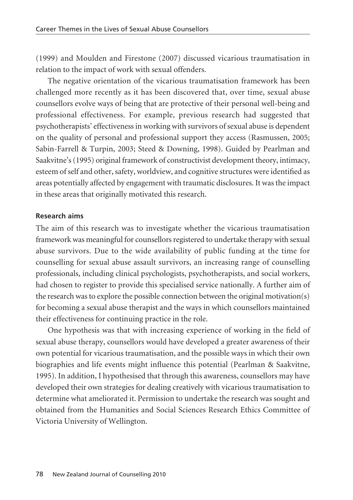(1999) and Moulden and Firestone (2007) discussed vicarious traumatisation in relation to the impact of work with sexual offenders.

The negative orientation of the vicarious traumatisation framework has been challenged more recently as it has been discovered that, over time, sexual abuse counsellors evolve ways of being that are protective of their personal well-being and professional effectiveness. For example, previous research had suggested that psychotherapists' effectiveness in working with survivors of sexual abuse is dependent on the quality of personal and professional support they access (Rasmussen, 2005; Sabin-Farrell & Turpin, 2003; Steed & Downing, 1998). Guided by Pearlman and Saakvitne's (1995) original framework of constructivist development theory, intimacy, esteem of self and other, safety, worldview, and cognitive structures were identified as areas potentially affected by engagement with traumatic disclosures. It was the impact in these areas that originally motivated this research.

#### **Research aims**

The aim of this research was to investigate whether the vicarious traumatisation framework was meaningful for counsellors registered to undertake therapy with sexual abuse survivors. Due to the wide availability of public funding at the time for counselling for sexual abuse assault survivors, an increasing range of counselling professionals, including clinical psychologists, psychotherapists, and social workers, had chosen to register to provide this specialised service nationally. A further aim of the research was to explore the possible connection between the original motivation(s) for becoming a sexual abuse therapist and the ways in which counsellors maintained their effectiveness for continuing practice in the role.

One hypothesis was that with increasing experience of working in the field of sexual abuse therapy, counsellors would have developed a greater awareness of their own potential for vicarious traumatisation, and the possible ways in which their own biographies and life events might influence this potential (Pearlman & Saakvitne, 1995). In addition, I hypothesised that through this awareness, counsellors may have developed their own strategies for dealing creatively with vicarious traumatisation to determine what ameliorated it. Permission to undertake the research was sought and obtained from the Humanities and Social Sciences Research Ethics Committee of Victoria University of Wellington.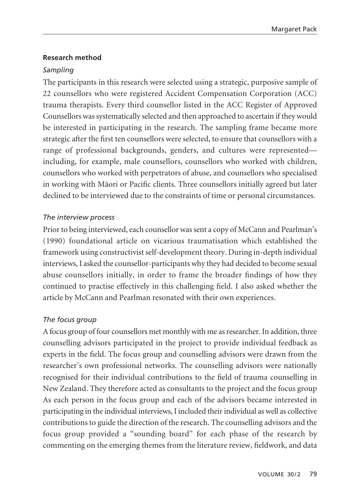### **Research method**

### *Sampling*

The participants in this research were selected using a strategic, purposive sample of 22 counsellors who were registered Accident Compensation Corporation (ACC) trauma therapists. Every third counsellor listed in the ACC Register of Approved Counsellors was systematically selected and then approached to ascertain if they would be interested in participating in the research. The sampling frame became more strategic after the first ten counsellors were selected, to ensure that counsellors with a range of professional backgrounds, genders, and cultures were represented including, for example, male counsellors, counsellors who worked with children, counsellors who worked with perpetrators of abuse, and counsellors who specialised in working with Mäori or Pacific clients. Three counsellors initially agreed but later declined to be interviewed due to the constraints of time or personal circumstances.

### *The interview process*

Prior to being interviewed, each counsellor was sent a copy of McCann and Pearlman's (1990) foundational article on vicarious traumatisation which established the framework using constructivist self-development theory. During in-depth individual interviews, I asked the counsellor-participants why they had decided to become sexual abuse counsellors initially, in order to frame the broader findings of how they continued to practise effectively in this challenging field. I also asked whether the article by McCann and Pearlman resonated with their own experiences.

### *The focus group*

A focus group of four counsellors met monthly with me as researcher. In addition, three counselling advisors participated in the project to provide individual feedback as experts in the field. The focus group and counselling advisors were drawn from the researcher's own professional networks. The counselling advisors were nationally recognised for their individual contributions to the field of trauma counselling in New Zealand. They therefore acted as consultants to the project and the focus group As each person in the focus group and each of the advisors became interested in participating in the individual interviews, I included their individual as well as collective contributions to guide the direction of the research. The counselling advisors and the focus group provided a "sounding board" for each phase of the research by commenting on the emerging themes from the literature review, fieldwork, and data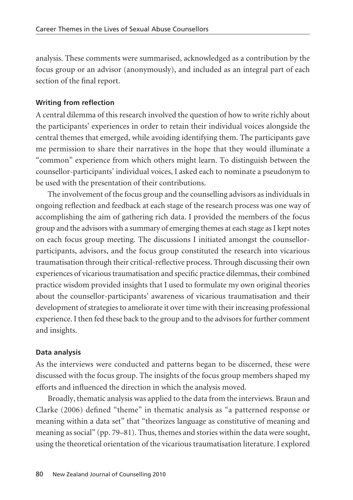analysis. These comments were summarised, acknowledged as a contribution by the focus group or an advisor (anonymously), and included as an integral part of each section of the final report.

## **Writing from reflection**

A central dilemma of this research involved the question of how to write richly about the participants' experiences in order to retain their individual voices alongside the central themes that emerged, while avoiding identifying them. The participants gave me permission to share their narratives in the hope that they would illuminate a "common" experience from which others might learn. To distinguish between the counsellor-participants' individual voices, I asked each to nominate a pseudonym to be used with the presentation of their contributions.

The involvement of the focus group and the counselling advisors as individuals in ongoing reflection and feedback at each stage of the research process was one way of accomplishing the aim of gathering rich data. I provided the members of the focus group and the advisors with a summary of emerging themes at each stage as I kept notes on each focus group meeting. The discussions I initiated amongst the counsellorparticipants, advisors, and the focus group constituted the research into vicarious traumatisation through their critical-reflective process. Through discussing their own experiences of vicarious traumatisation and specific practice dilemmas, their combined practice wisdom provided insights that I used to formulate my own original theories about the counsellor-participants' awareness of vicarious traumatisation and their development of strategies to ameliorate it over time with their increasing professional experience. I then fed these back to the group and to the advisors for further comment and insights.

### **Data analysis**

As the interviews were conducted and patterns began to be discerned, these were discussed with the focus group. The insights of the focus group members shaped my efforts and influenced the direction in which the analysis moved.

Broadly, thematic analysis was applied to the data from the interviews. Braun and Clarke (2006) defined "theme" in thematic analysis as "a patterned response or meaning within a data set" that "theorizes language as constitutive of meaning and meaning as social" (pp. 79–81). Thus, themes and stories within the data were sought, using the theoretical orientation of the vicarious traumatisation literature. I explored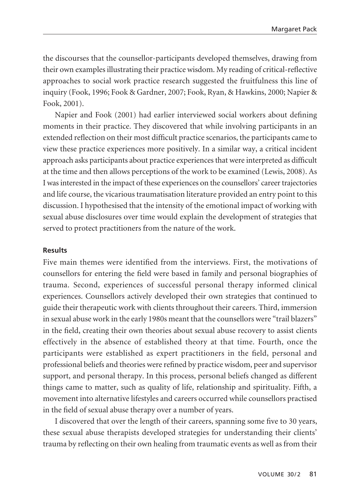the discourses that the counsellor-participants developed themselves, drawing from their own examples illustrating their practice wisdom. My reading of critical-reflective approaches to social work practice research suggested the fruitfulness this line of inquiry (Fook, 1996; Fook & Gardner, 2007; Fook, Ryan, & Hawkins, 2000; Napier & Fook, 2001).

Napier and Fook (2001) had earlier interviewed social workers about defining moments in their practice. They discovered that while involving participants in an extended reflection on their most difficult practice scenarios, the participants came to view these practice experiences more positively. In a similar way, a critical incident approach asks participants about practice experiences that were interpreted as difficult at the time and then allows perceptions of the work to be examined (Lewis, 2008). As I was interested in the impact of these experiences on the counsellors' career trajectories and life course, the vicarious traumatisation literature provided an entry point to this discussion. I hypothesised that the intensity of the emotional impact of working with sexual abuse disclosures over time would explain the development of strategies that served to protect practitioners from the nature of the work.

#### **Results**

Five main themes were identified from the interviews. First, the motivations of counsellors for entering the field were based in family and personal biographies of trauma. Second, experiences of successful personal therapy informed clinical experiences. Counsellors actively developed their own strategies that continued to guide their therapeutic work with clients throughout their careers. Third, immersion in sexual abuse work in the early 1980s meant that the counsellors were "trail blazers" in the field, creating their own theories about sexual abuse recovery to assist clients effectively in the absence of established theory at that time. Fourth, once the participants were established as expert practitioners in the field, personal and professional beliefs and theories were refined by practice wisdom, peer and supervisor support, and personal therapy. In this process, personal beliefs changed as different things came to matter, such as quality of life, relationship and spirituality. Fifth, a movement into alternative lifestyles and careers occurred while counsellors practised in the field of sexual abuse therapy over a number of years.

I discovered that over the length of their careers, spanning some five to 30 years, these sexual abuse therapists developed strategies for understanding their clients' trauma by reflecting on their own healing from traumatic events as well as from their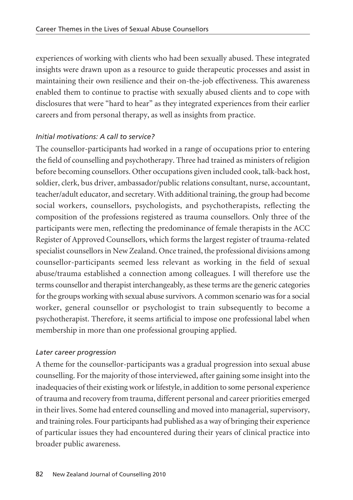experiences of working with clients who had been sexually abused. These integrated insights were drawn upon as a resource to guide therapeutic processes and assist in maintaining their own resilience and their on-the-job effectiveness. This awareness enabled them to continue to practise with sexually abused clients and to cope with disclosures that were "hard to hear" as they integrated experiences from their earlier careers and from personal therapy, as well as insights from practice.

# *Initial motivations: A call to service?*

The counsellor-participants had worked in a range of occupations prior to entering the field of counselling and psychotherapy. Three had trained as ministers of religion before becoming counsellors. Other occupations given included cook, talk-back host, soldier, clerk, bus driver, ambassador/public relations consultant, nurse, accountant, teacher/adult educator, and secretary. With additional training, the group had become social workers, counsellors, psychologists, and psychotherapists, reflecting the composition of the professions registered as trauma counsellors. Only three of the participants were men, reflecting the predominance of female therapists in the ACC Register of Approved Counsellors, which forms the largest register of trauma-related specialist counsellors in New Zealand. Once trained, the professional divisions among counsellor-participants seemed less relevant as working in the field of sexual abuse/trauma established a connection among colleagues. I will therefore use the terms counsellor and therapist interchangeably, as these terms are the generic categories for the groups working with sexual abuse survivors. A common scenario was for a social worker, general counsellor or psychologist to train subsequently to become a psychotherapist. Therefore, it seems artificial to impose one professional label when membership in more than one professional grouping applied.

# *Later career progression*

A theme for the counsellor-participants was a gradual progression into sexual abuse counselling. For the majority of those interviewed, after gaining some insight into the inadequacies of their existing work or lifestyle, in addition to some personal experience of trauma and recovery from trauma, different personal and career priorities emerged in their lives. Some had entered counselling and moved into managerial, supervisory, and training roles. Four participants had published as a way of bringing their experience of particular issues they had encountered during their years of clinical practice into broader public awareness.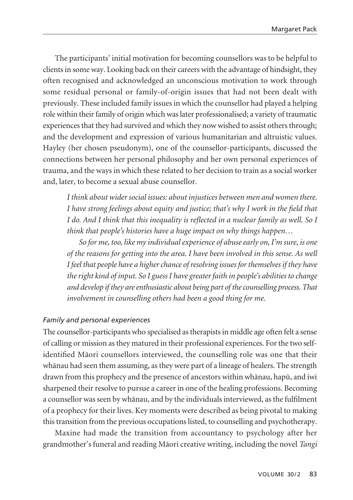The participants' initial motivation for becoming counsellors was to be helpful to clients in some way. Looking back on their careers with the advantage of hindsight, they often recognised and acknowledged an unconscious motivation to work through some residual personal or family-of-origin issues that had not been dealt with previously. These included family issues in which the counsellor had played a helping role within their family of origin which was later professionalised; a variety of traumatic experiences that they had survived and which they now wished to assist others through; and the development and expression of various humanitarian and altruistic values. Hayley (her chosen pseudonym), one of the counsellor-participants, discussed the connections between her personal philosophy and her own personal experiences of trauma, and the ways in which these related to her decision to train as a social worker and, later, to become a sexual abuse counsellor.

*I think about wider social issues: about injustices between men and women there. I have strong feelings about equity and justice; that's why I work in the field that I do. And I think that this inequality is reflected in a nuclear family as well. So I think that people's histories have a huge impact on why things happen…*

*So for me, too, like my individual experience of abuse early on, I'm sure, is one of the reasons for getting into the area. I have been involved in this sense. As well I feel that people have a higher chance of resolving issues for themselves if they have the right kind of input. So I guess I have greater faith in people's abilities to change and develop if they are enthusiastic about being part of the counselling process. That involvement in counselling others had been a good thing for me.*

### *Family and personal experiences*

The counsellor-participants who specialised as therapists in middle age often felt a sense of calling or mission as they matured in their professional experiences. For the two selfidentified Mäori counsellors interviewed, the counselling role was one that their whänau had seen them assuming, as they were part of a lineage of healers. The strength drawn from this prophecy and the presence of ancestors within whänau, hapü, and iwi sharpened their resolve to pursue a career in one of the healing professions. Becoming a counsellor was seen by whänau, and by the individuals interviewed, as the fulfilment of a prophecy for their lives. Key moments were described as being pivotal to making this transition from the previous occupations listed, to counselling and psychotherapy.

Maxine had made the transition from accountancy to psychology after her grandmother's funeral and reading Mäori creative writing, including the novel *Tangi*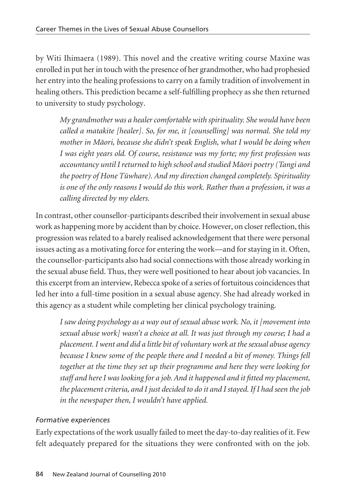by Witi Ihimaera (1989). This novel and the creative writing course Maxine was enrolled in put her in touch with the presence of her grandmother, who had prophesied her entry into the healing professions to carry on a family tradition of involvement in healing others. This prediction became a self-fulfilling prophecy as she then returned to university to study psychology.

*My grandmother was a healer comfortable with spirituality. She would have been called a matakite [healer]. So, for me, it [counselling] was normal. She told my mother in Mäori, because she didn't speak English, what I would be doing when I was eight years old. Of course, resistance was my forte; my first profession was accountancy until I returned to high school and studied Mäori poetry (Tangi and the poetry of Hone Tüwhare). And my direction changed completely. Spirituality is one of the only reasons I would do this work. Rather than a profession, it was a calling directed by my elders.*

In contrast, other counsellor-participants described their involvement in sexual abuse work as happening more by accident than by choice. However, on closer reflection, this progression was related to a barely realised acknowledgement that there were personal issues acting as a motivating force for entering the work—and for staying in it. Often, the counsellor-participants also had social connections with those already working in the sexual abuse field. Thus, they were well positioned to hear about job vacancies. In this excerpt from an interview, Rebecca spoke of a series of fortuitous coincidences that led her into a full-time position in a sexual abuse agency. She had already worked in this agency as a student while completing her clinical psychology training.

*I saw doing psychology as a way out of sexual abuse work. No, it [movement into sexual abuse work] wasn't a choice at all. It was just through my course; I had a placement. I went and did a little bit of voluntary work at the sexual abuse agency because I knew some of the people there and I needed a bit of money. Things fell together at the time they set up their programme and here they were looking for staff and here I was looking for a job. And it happened and it fitted my placement, the placement criteria, and I just decided to do it and I stayed. If I had seen the job in the newspaper then, I wouldn't have applied.* 

# *Formative experiences*

Early expectations of the work usually failed to meet the day-to-day realities of it. Few felt adequately prepared for the situations they were confronted with on the job.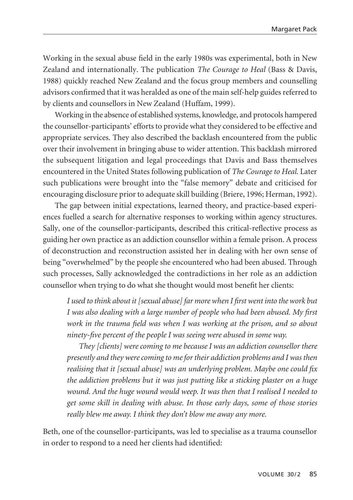Working in the sexual abuse field in the early 1980s was experimental, both in New Zealand and internationally. The publication *The Courage to Heal* (Bass & Davis, 1988) quickly reached New Zealand and the focus group members and counselling advisors confirmed that it was heralded as one of the main self-help guides referred to by clients and counsellors in New Zealand (Huffam, 1999).

Working in the absence of established systems, knowledge, and protocols hampered the counsellor-participants' efforts to provide what they considered to be effective and appropriate services. They also described the backlash encountered from the public over their involvement in bringing abuse to wider attention. This backlash mirrored the subsequent litigation and legal proceedings that Davis and Bass themselves encountered in the United States following publication of *The Courage to Heal*. Later such publications were brought into the "false memory" debate and criticised for encouraging disclosure prior to adequate skill building (Briere, 1996; Herman, 1992).

The gap between initial expectations, learned theory, and practice-based experiences fuelled a search for alternative responses to working within agency structures. Sally, one of the counsellor-participants, described this critical-reflective process as guiding her own practice as an addiction counsellor within a female prison. A process of deconstruction and reconstruction assisted her in dealing with her own sense of being "overwhelmed" by the people she encountered who had been abused. Through such processes, Sally acknowledged the contradictions in her role as an addiction counsellor when trying to do what she thought would most benefit her clients:

*I used to think about it [sexual abuse] far more when I first went into the work but I was also dealing with a large number of people who had been abused. My first work in the trauma field was when I was working at the prison, and so about ninety-five percent of the people I was seeing were abused in some way.*

*They [clients] were coming to me because I was an addiction counsellor there presently and they were coming to me for their addiction problems and I was then realising that it [sexual abuse] was an underlying problem. Maybe one could fix the addiction problems but it was just putting like a sticking plaster on a huge wound. And the huge wound would weep. It was then that I realised I needed to get some skill in dealing with abuse. In those early days, some of those stories really blew me away. I think they don't blow me away any more.*

Beth, one of the counsellor-participants, was led to specialise as a trauma counsellor in order to respond to a need her clients had identified: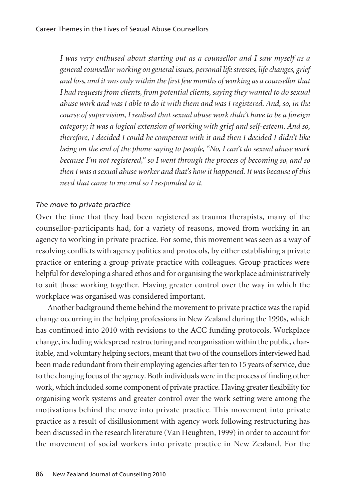*I was very enthused about starting out as a counsellor and I saw myself as a general counsellor working on general issues, personal life stresses, life changes, grief and loss, and it was only within the first few months of working as a counsellor that I had requests from clients, from potential clients, saying they wanted to do sexual abuse work and was I able to do it with them and was I registered. And, so, in the course of supervision, I realised that sexual abuse work didn't have to be a foreign category; it was a logical extension of working with grief and self-esteem. And so, therefore, I decided I could be competent with it and then I decided I didn't like being on the end of the phone saying to people, "No, I can't do sexual abuse work because I'm not registered," so I went through the process of becoming so, and so then I was a sexual abuse worker and that's how it happened. It was because of this need that came to me and so I responded to it.* 

# *The move to private practice*

Over the time that they had been registered as trauma therapists, many of the counsellor-participants had, for a variety of reasons, moved from working in an agency to working in private practice. For some, this movement was seen as a way of resolving conflicts with agency politics and protocols, by either establishing a private practice or entering a group private practice with colleagues. Group practices were helpful for developing a shared ethos and for organising the workplace administratively to suit those working together. Having greater control over the way in which the workplace was organised was considered important.

Another background theme behind the movement to private practice was the rapid change occurring in the helping professions in New Zealand during the 1990s, which has continued into 2010 with revisions to the ACC funding protocols. Workplace change, including widespread restructuring and reorganisation within the public, charitable, and voluntary helping sectors, meant that two of the counsellors interviewed had been made redundant from their employing agencies after ten to 15 years of service, due to the changing focus of the agency. Both individuals were in the process of finding other work, which included some component of private practice. Having greater flexibility for organising work systems and greater control over the work setting were among the motivations behind the move into private practice. This movement into private practice as a result of disillusionment with agency work following restructuring has been discussed in the research literature (Van Heughten, 1999) in order to account for the movement of social workers into private practice in New Zealand. For the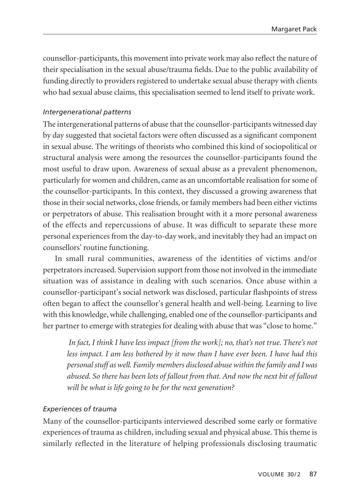counsellor-participants, this movement into private work may also reflect the nature of their specialisation in the sexual abuse/trauma fields. Due to the public availability of funding directly to providers registered to undertake sexual abuse therapy with clients who had sexual abuse claims, this specialisation seemed to lend itself to private work.

### *Intergenerational patterns*

The intergenerational patterns of abuse that the counsellor-participants witnessed day by day suggested that societal factors were often discussed as a significant component in sexual abuse. The writings of theorists who combined this kind of sociopolitical or structural analysis were among the resources the counsellor-participants found the most useful to draw upon. Awareness of sexual abuse as a prevalent phenomenon, particularly for women and children, came as an uncomfortable realisation for some of the counsellor-participants. In this context, they discussed a growing awareness that those in their social networks, close friends, or family members had been either victims or perpetrators of abuse. This realisation brought with it a more personal awareness of the effects and repercussions of abuse. It was difficult to separate these more personal experiences from the day-to-day work, and inevitably they had an impact on counsellors' routine functioning.

In small rural communities, awareness of the identities of victims and/or perpetrators increased. Supervision support from those not involved in the immediate situation was of assistance in dealing with such scenarios. Once abuse within a counsellor-participant's social network was disclosed, particular flashpoints of stress often began to affect the counsellor's general health and well-being. Learning to live with this knowledge, while challenging, enabled one of the counsellor-participants and her partner to emerge with strategies for dealing with abuse that was "close to home."

*In fact, I think I have less impact [from the work]; no, that's not true. There's not less impact. I am less bothered by it now than I have ever been. I have had this personal stuff as well. Family members disclosed abuse within the family and I was abused. So there has been lots of fallout from that. And now the next bit of fallout will be what is life going to be for the next generation?* 

#### *Experiences of trauma*

Many of the counsellor-participants interviewed described some early or formative experiences of trauma as children, including sexual and physical abuse. This theme is similarly reflected in the literature of helping professionals disclosing traumatic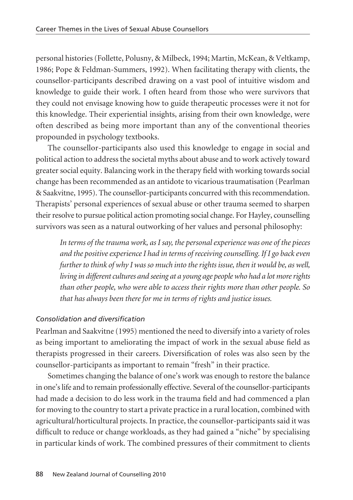personal histories (Follette, Polusny, & Milbeck, 1994; Martin, McKean, & Veltkamp, 1986; Pope & Feldman-Summers, 1992). When facilitating therapy with clients, the counsellor-participants described drawing on a vast pool of intuitive wisdom and knowledge to guide their work. I often heard from those who were survivors that they could not envisage knowing how to guide therapeutic processes were it not for this knowledge. Their experiential insights, arising from their own knowledge, were often described as being more important than any of the conventional theories propounded in psychology textbooks.

The counsellor-participants also used this knowledge to engage in social and political action to address the societal myths about abuse and to work actively toward greater social equity. Balancing work in the therapy field with working towards social change has been recommended as an antidote to vicarious traumatisation (Pearlman & Saakvitne, 1995). The counsellor-participants concurred with this recommendation. Therapists' personal experiences of sexual abuse or other trauma seemed to sharpen their resolve to pursue political action promoting social change. For Hayley, counselling survivors was seen as a natural outworking of her values and personal philosophy:

*In terms of the trauma work, as I say, the personal experience was one of the pieces and the positive experience I had in terms of receiving counselling. If I go back even further to think of why I was so much into the rights issue, then it would be, as well, living in different cultures and seeing at a young age people who had a lot more rights than other people, who were able to access their rights more than other people. So that has always been there for me in terms of rights and justice issues.* 

# *Consolidation and diversification*

Pearlman and Saakvitne (1995) mentioned the need to diversify into a variety of roles as being important to ameliorating the impact of work in the sexual abuse field as therapists progressed in their careers. Diversification of roles was also seen by the counsellor-participants as important to remain "fresh" in their practice.

Sometimes changing the balance of one's work was enough to restore the balance in one's life and to remain professionally effective. Several of the counsellor-participants had made a decision to do less work in the trauma field and had commenced a plan for moving to the country to start a private practice in a rural location, combined with agricultural/horticultural projects. In practice, the counsellor-participants said it was difficult to reduce or change workloads, as they had gained a "niche" by specialising in particular kinds of work. The combined pressures of their commitment to clients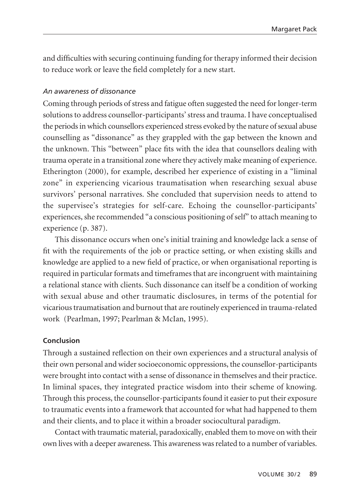and difficulties with securing continuing funding for therapy informed their decision to reduce work or leave the field completely for a new start.

### *An awareness of dissonance*

Coming through periods of stress and fatigue often suggested the need for longer-term solutions to address counsellor-participants' stress and trauma. I have conceptualised the periods in which counsellors experienced stress evoked by the nature of sexual abuse counselling as "dissonance" as they grappled with the gap between the known and the unknown. This "between" place fits with the idea that counsellors dealing with trauma operate in a transitional zone where they actively make meaning of experience. Etherington (2000), for example, described her experience of existing in a "liminal zone" in experiencing vicarious traumatisation when researching sexual abuse survivors' personal narratives. She concluded that supervision needs to attend to the supervisee's strategies for self-care. Echoing the counsellor-participants' experiences, she recommended "a conscious positioning of self" to attach meaning to experience (p. 387).

This dissonance occurs when one's initial training and knowledge lack a sense of fit with the requirements of the job or practice setting, or when existing skills and knowledge are applied to a new field of practice, or when organisational reporting is required in particular formats and timeframes that are incongruent with maintaining a relational stance with clients. Such dissonance can itself be a condition of working with sexual abuse and other traumatic disclosures, in terms of the potential for vicarious traumatisation and burnout that are routinely experienced in trauma-related work (Pearlman, 1997; Pearlman & McIan, 1995).

### **Conclusion**

Through a sustained reflection on their own experiences and a structural analysis of their own personal and wider socioeconomic oppressions, the counsellor-participants were brought into contact with a sense of dissonance in themselves and their practice. In liminal spaces, they integrated practice wisdom into their scheme of knowing. Through this process, the counsellor-participants found it easier to put their exposure to traumatic events into a framework that accounted for what had happened to them and their clients, and to place it within a broader sociocultural paradigm.

Contact with traumatic material, paradoxically, enabled them to move on with their own lives with a deeper awareness. This awareness was related to a number of variables.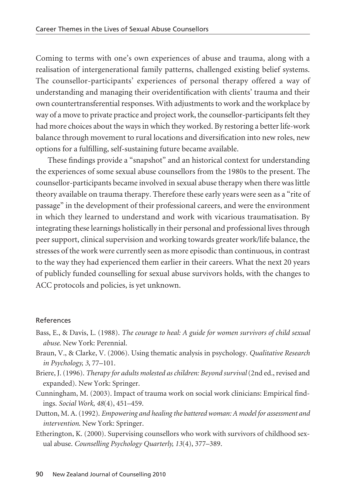Coming to terms with one's own experiences of abuse and trauma, along with a realisation of intergenerational family patterns, challenged existing belief systems. The counsellor-participants' experiences of personal therapy offered a way of understanding and managing their overidentification with clients' trauma and their own countertransferential responses. With adjustments to work and the workplace by way of a move to private practice and project work, the counsellor-participants felt they had more choices about the ways in which they worked. By restoring a better life-work balance through movement to rural locations and diversification into new roles, new options for a fulfilling, self-sustaining future became available.

These findings provide a "snapshot" and an historical context for understanding the experiences of some sexual abuse counsellors from the 1980s to the present. The counsellor-participants became involved in sexual abuse therapy when there was little theory available on trauma therapy. Therefore these early years were seen as a "rite of passage" in the development of their professional careers, and were the environment in which they learned to understand and work with vicarious traumatisation. By integrating these learnings holistically in their personal and professional lives through peer support, clinical supervision and working towards greater work/life balance, the stresses of the work were currently seen as more episodic than continuous, in contrast to the way they had experienced them earlier in their careers. What the next 20 years of publicly funded counselling for sexual abuse survivors holds, with the changes to ACC protocols and policies, is yet unknown.

#### References

- Bass, E., & Davis, L. (1988). *The courage to heal: A guide for women survivors of child sexual abuse*. New York: Perennial.
- Braun, V., & Clarke, V. (2006). Using thematic analysis in psychology. *Qualitative Research in Psychology, 3*, 77–101.
- Briere, J. (1996). *Therapy for adults molested as children: Beyond survival*(2nd ed., revised and expanded). New York: Springer.
- Cunningham, M. (2003). Impact of trauma work on social work clinicians: Empirical findings. *Social Work, 48*(4), 451–459.
- Dutton, M. A. (1992). *Empowering and healing the battered woman: A model for assessment and intervention*. New York: Springer.
- Etherington, K. (2000). Supervising counsellors who work with survivors of childhood sexual abuse. *Counselling Psychology Quarterly, 13*(4), 377–389.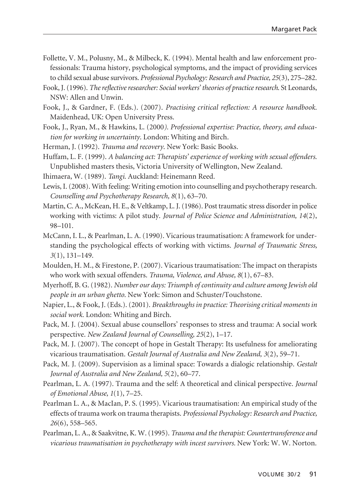- Follette, V. M., Polusny, M., & Milbeck, K. (1994). Mental health and law enforcement professionals: Trauma history, psychological symptoms, and the impact of providing services to child sexual abuse survivors. *Professional Psychology: Research and Practice, 25*(3), 275–282.
- Fook, J. (1996). *The reflective researcher: Social workers' theories of practice research*. St Leonards, NSW: Allen and Unwin.
- Fook, J., & Gardner, F. (Eds.). (2007). *Practising critical reflection: A resource handbook*. Maidenhead, UK: Open University Press.
- Fook, J., Ryan, M., & Hawkins, L. (2000*). Professional expertise: Practice, theory, and education for working in uncertainty*. London: Whiting and Birch.
- Herman, J. (1992). *Trauma and recovery*. New York: Basic Books.
- Huffam, L. F. (1999). *A balancing act: Therapists' experience of working with sexual offenders*. Unpublished masters thesis, Victoria University of Wellington, New Zealand.
- Ihimaera, W. (1989). *Tangi*. Auckland: Heinemann Reed.
- Lewis, I. (2008). With feeling: Writing emotion into counselling and psychotherapy research. *Counselling and Psychotherapy Research, 8*(1), 63–70.
- Martin, C. A., McKean, H. E., & Veltkamp, L. J. (1986). Post traumatic stress disorder in police working with victims: A pilot study. *Journal of Police Science and Administration, 14*(2), 98–101.
- McCann, I. L., & Pearlman, L. A. (1990). Vicarious traumatisation: A framework for understanding the psychological effects of working with victims. *Journal of Traumatic Stress, 3*(1), 131–149.
- Moulden, H. M., & Firestone, P. (2007). Vicarious traumatisation: The impact on therapists who work with sexual offenders. *Trauma, Violence, and Abuse, 8*(1), 67–83.
- Myerhoff, B. G. (1982). *Number our days: Triumph of continuity and culture among Jewish old people in an urban ghetto*. New York: Simon and Schuster/Touchstone.
- Napier, L., & Fook, J. (Eds.). (2001). *Breakthroughs in practice: Theorising critical moments in social work.* London: Whiting and Birch.
- Pack, M. J. (2004). Sexual abuse counsellors' responses to stress and trauma: A social work perspective. *New Zealand Journal of Counselling, 25*(2), 1–17.
- Pack, M. J. (2007). The concept of hope in Gestalt Therapy: Its usefulness for ameliorating vicarious traumatisation. *Gestalt Journal of Australia and New Zealand, 3*(2), 59–71.
- Pack, M. J. (2009). Supervision as a liminal space: Towards a dialogic relationship. *Gestalt Journal of Australia and New Zealand, 5*(2), 60–77.
- Pearlman, L. A. (1997). Trauma and the self: A theoretical and clinical perspective. *Journal of Emotional Abuse, 1*(1), 7–25.
- Pearlman L. A., & MacIan, P. S. (1995). Vicarious traumatisation: An empirical study of the effects of trauma work on trauma therapists. *Professional Psychology: Research and Practice, 26*(6), 558–565.
- Pearlman, L. A., & Saakvitne, K. W. (1995). *Trauma and the therapist: Countertransference and vicarious traumatisation in psychotherapy with incest survivors.* New York: W. W. Norton.